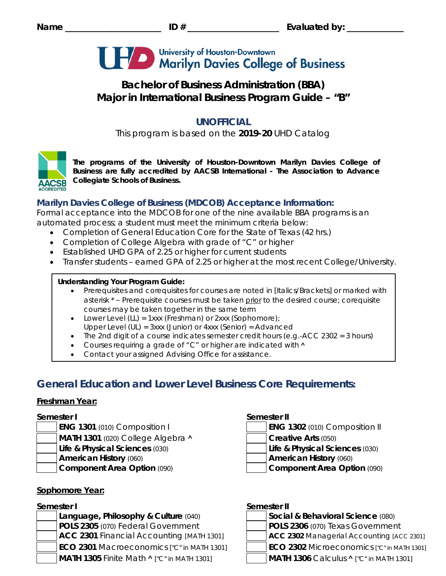

# **Bachelor of Business Administration (BBA) Major in International Business Program Guide – "B"**

# **UNOFFICIAL**

This program is based on the **2019-20** UHD Catalog



*The programs of the University of Houston-Downtown Marilyn Davies College of Business are fully accredited by AACSB International - The Association to Advance Collegiate Schools of Business.*

# **Marilyn Davies College of Business (MDCOB) Acceptance Information:**

Formal acceptance into the MDCOB for one of the nine available BBA programs is an automated process; a student must meet the minimum criteria below:

- Completion of General Education Core for the State of Texas (42 hrs.)
- Completion of College Algebra with grade of "C" or higher
- Established UHD GPA of 2.25 or higher for current students
- Transfer students earned GPA of 2.25 or higher at the most recent College/University.

## **Understanding Your Program Guide:**

- Prerequisites and corequisites for courses are noted in *[Italics/Brackets]* or marked with asterisk \* – Prerequisite courses must be taken prior to the desired course; corequisite courses may be taken together in the same term
- Lower Level (LL) = 1xxx (Freshman) or 2xxx (Sophomore);
- Upper Level (UL) = 3xxx (Junior) or 4xxx (Senior) = Advanced
- The 2nd digit of a course indicates semester credit hours (e.g.-ACC 2302 = 3 hours)
- Courses requiring a grade of "C" or higher are indicated with  $\land$
- Contact your assigned Advising Office for assistance.

# **General Education and Lower Level Business Core Requirements:**

## **Freshman Year:**

- 
- **MATH 1301** (020) College Algebra **˄ Creative Arts** (050)
	- **Life & Physical Sciences** (030) **Life & Physical Sciences** (030)
	-
- 

# **Sophomore Year:**

**Language, Philosophy & Culture (040) POLS 2305** (070) Federal Government **POLS 2306** (070) Texas Government **ACC 2301** Financial Accounting *[MATH 1301]* **ACC 2302** Managerial Accounting *[ACC 2301]* **ECO 2301** Macroeconomics *["C" in MATH 1301]* **ECO 2302** Microeconomics *["C" in MATH 1301]* **MATH 1305** Finite Math **˄** *["C" in MATH 1301]* **MATH 1306** Calculus **˄** *["C" in MATH 1301]*

## **Semester I Semester II**

- **ENG 1301** (010) Composition I **ENG 1302** (010) Composition II
	-
	-
- **American History** (060) **American History** (060)
- **Component Area Option** (090) **Component Area Option** (090)

# **Semester I Semester II**

| Social & Behavioral Science (080) |
|-----------------------------------|
| $\overline{R}$                    |

- -
- -